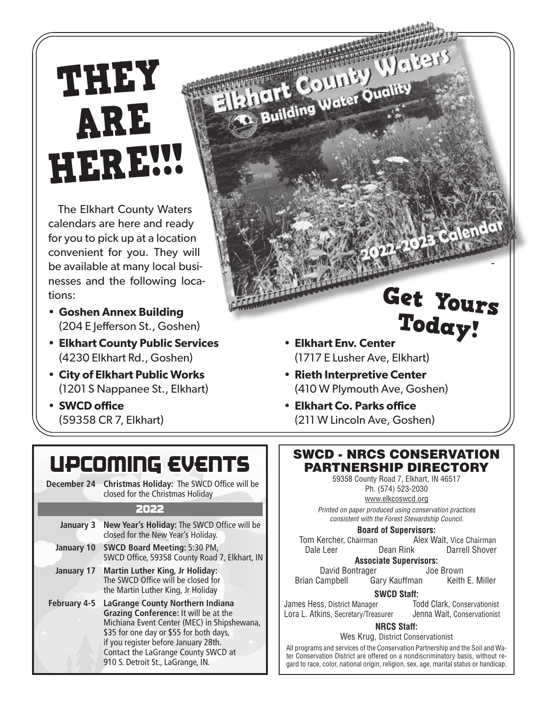# THEY ARE **HERE!!**

The Elkhart County Waters calendars are here and ready for you to pick up at a location convenient for you. They will be available at many local businesses and the following locations:

- **Goshen Annex Building** (204 E Jefferson St., Goshen)
- **Elkhart County Public Services** (4230 Elkhart Rd., Goshen)
- **City of Elkhart Public Works** (1201 S Nappanee St., Elkhart)
- **SWCD office** (59358 CR 7, Elkhart)

## UPCOMING EVENTS

**December 24 Christmas Holiday:** The SWCD Office will be closed for the Christmas Holiday

#### 2022

| January 3         | New Year's Holiday: The SWCD Office will be<br>closed for the New Year's Holiday.                                                                                                                                                                                                       |
|-------------------|-----------------------------------------------------------------------------------------------------------------------------------------------------------------------------------------------------------------------------------------------------------------------------------------|
|                   |                                                                                                                                                                                                                                                                                         |
| <b>January 10</b> | <b>SWCD Board Meeting: 5:30 PM,</b><br>SWCD Office, 59358 County Road 7, Elkhart, IN                                                                                                                                                                                                    |
| January 17        | <b>Martin Luther King, Jr Holiday:</b><br>The SWCD Office will be closed for<br>the Martin Luther King, Jr Holiday                                                                                                                                                                      |
| February 4-5      | LaGrange County Northern Indiana<br>Grazing Conference: It will be at the<br>Michiana Event Center (MEC) in Shipshewana,<br>\$35 for one day or \$55 for both days,<br>if you register before January 28th.<br>Contact the LaGrange County SWCD at<br>910 S. Detroit St., LaGrange, IN. |

• **Elkhart Env. Center** (1717 E Lusher Ave, Elkhart) Today!

Ishart County Waters

hart County Ouality

- **Rieth Interpretive Center** (410 W Plymouth Ave, Goshen)
- **Elkhart Co. Parks office** (211 W Lincoln Ave, Goshen)

#### SWCD - NRCS CONSERVATION PARTNERSHIP DIRECTORY

59358 County Road 7, Elkhart, IN 46517 Ph. (574) 523-2030

www.elkcoswcd.org Printed on paper produced using conservation practices consistent with the Forest Stewardship Council.

**Board of Supervisors:**<br>Tom Kercher, Chairman **Brack** Mex W Alex Wait, Vice Chairman Dale Leer Dean Rink Darrell Shover

**Associate Supervisors:**

David Bontrager Joe Brown Brian Campbell Gary Kauffman

James Hess, District Manager Lora L. Atkins, Secretary/Treasurer Jenna Wait, Conservationist

**SWCD Staff:**<br> **CODE Todd Clark, Conservationist** 

-

Get Yours

3 Calendar

#### **NRCS Staff:**

Wes Krug, District Conservationist

All programs and services of the Conservation Partnership and the Soil and Water Conservation District are offered on a nondiscriminatory basis, without regard to race, color, national origin, religion, sex, age, marital status or handicap.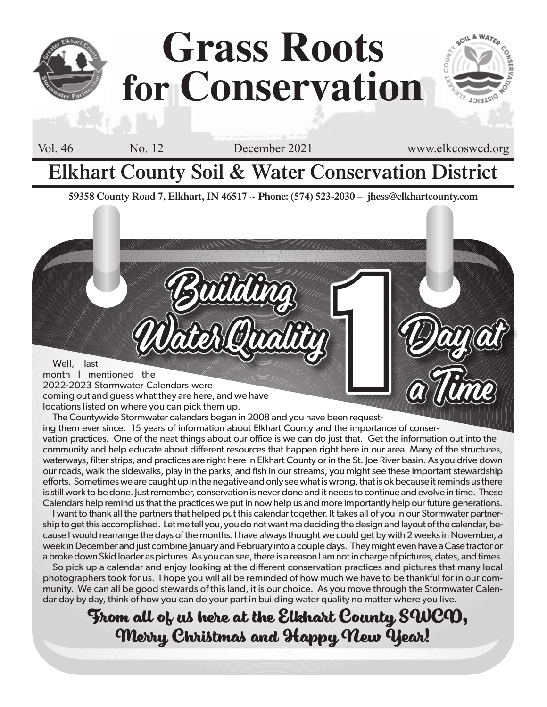

# **Grass Roots for Conservation**

Vol. 46 No. 12 December 2021 www.elkcoswcd.org

Day at

a Time

### **Elkhart County Soil & Water Conservation District**

**59358 County Road 7, Elkhart, IN 46517 ~ Phone: (574) 523-2030 – jhess@elkhartcounty.com**

Building

Water Quality month I mentioned the 2022-2023 Stormwater Calendars were coming out and guess what they are here, and we have locations listed on where you can pick them up. Watch (Quality)

The Countywide Stormwater calendars began in 2008 and you have been requesting them ever since. 15 years of information about Elkhart County and the importance of conservation practices. One of the neat things about our office is we can do just that. Get the information out into the community and help educate about different resources that happen right here in our area. Many of the structures, waterways, filter strips, and practices are right here in Elkhart County or in the St. Joe River basin. As you drive down our roads, walk the sidewalks, play in the parks, and fish in our streams, you might see these important stewardship efforts. Sometimes we are caught up in the negative and only see what is wrong, that is ok because it reminds us there is still work to be done. Just remember, conservation is never done and it needs to continue and evolve in time. These Calendars help remind us that the practices we put in now help us and more importantly help our future generations.

I want to thank all the partners that helped put this calendar together. It takes all of you in our Stormwater partnership to get this accomplished. Let me tell you, you do not want me deciding the design and layout of the calendar, because I would rearrange the days of the months. I have always thought we could get by with 2 weeks in November, a week in December and just combine January and February into a couple days. They might even have a Case tractor or a broke down Skid loader as pictures. As you can see, there is a reason I am not in charge of pictures, dates, and times.

So pick up a calendar and enjoy looking at the different conservation practices and pictures that many local photographers took for us. I hope you will all be reminded of how much we have to be thankful for in our community. We can all be good stewards of this land, it is our choice. As you move through the Stormwater Calendar day by day, think of how you can do your part in building water quality no matter where you live.

**From all of us here at the Elkhart County SWCD, Merry Christmas and Happy New Year!**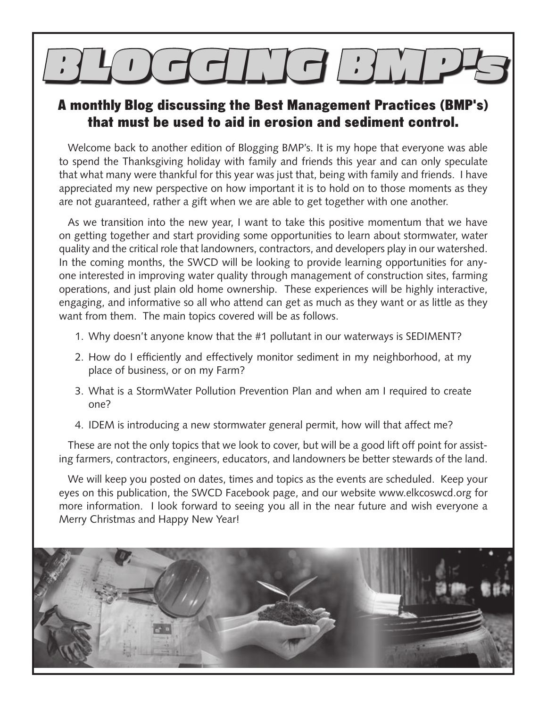# $\bigcup_{i=1}^n \left[\frac{1}{2} + \frac{1}{2} + \frac{1}{2}\right]$

### A monthly Blog discussing the Best Management Practices (BMP's) that must be used to aid in erosion and sediment control.

Welcome back to another edition of Blogging BMP's. It is my hope that everyone was able to spend the Thanksgiving holiday with family and friends this year and can only speculate that what many were thankful for this year was just that, being with family and friends. I have appreciated my new perspective on how important it is to hold on to those moments as they are not guaranteed, rather a gift when we are able to get together with one another.

As we transition into the new year, I want to take this positive momentum that we have on getting together and start providing some opportunities to learn about stormwater, water quality and the critical role that landowners, contractors, and developers play in our watershed. In the coming months, the SWCD will be looking to provide learning opportunities for anyone interested in improving water quality through management of construction sites, farming operations, and just plain old home ownership. These experiences will be highly interactive, engaging, and informative so all who attend can get as much as they want or as little as they want from them. The main topics covered will be as follows.

- 1. Why doesn't anyone know that the #1 pollutant in our waterways is SEDIMENT?
- 2. How do I efficiently and effectively monitor sediment in my neighborhood, at my place of business, or on my Farm?
- 3. What is a StormWater Pollution Prevention Plan and when am I required to create one?
- 4. IDEM is introducing a new stormwater general permit, how will that affect me?

These are not the only topics that we look to cover, but will be a good lift off point for assisting farmers, contractors, engineers, educators, and landowners be better stewards of the land.

We will keep you posted on dates, times and topics as the events are scheduled. Keep your eyes on this publication, the SWCD Facebook page, and our website www.elkcoswcd.org for more information. I look forward to seeing you all in the near future and wish everyone a Merry Christmas and Happy New Year!